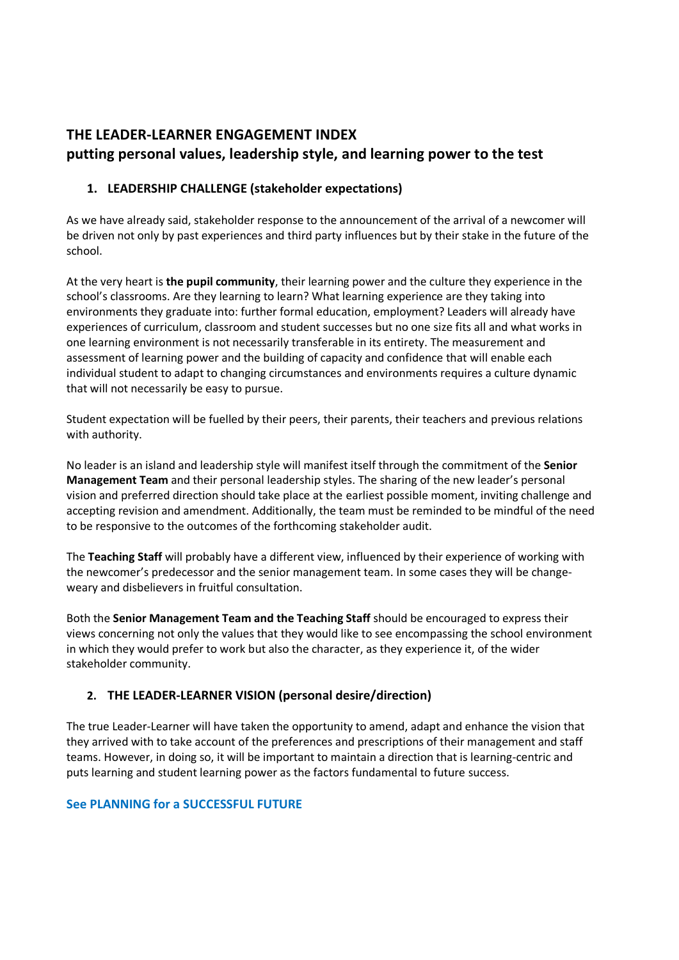# **THE LEADER-LEARNER ENGAGEMENT INDEX putting personal values, leadership style, and learning power to the test**

# **1. LEADERSHIP CHALLENGE (stakeholder expectations)**

As we have already said, stakeholder response to the announcement of the arrival of a newcomer will be driven not only by past experiences and third party influences but by their stake in the future of the school.

At the very heart is **the pupil community**, their learning power and the culture they experience in the school's classrooms. Are they learning to learn? What learning experience are they taking into environments they graduate into: further formal education, employment? Leaders will already have experiences of curriculum, classroom and student successes but no one size fits all and what works in one learning environment is not necessarily transferable in its entirety. The measurement and assessment of learning power and the building of capacity and confidence that will enable each individual student to adapt to changing circumstances and environments requires a culture dynamic that will not necessarily be easy to pursue.

Student expectation will be fuelled by their peers, their parents, their teachers and previous relations with authority.

No leader is an island and leadership style will manifest itself through the commitment of the **Senior Management Team** and their personal leadership styles. The sharing of the new leader's personal vision and preferred direction should take place at the earliest possible moment, inviting challenge and accepting revision and amendment. Additionally, the team must be reminded to be mindful of the need to be responsive to the outcomes of the forthcoming stakeholder audit.

The **Teaching Staff** will probably have a different view, influenced by their experience of working with the newcomer's predecessor and the senior management team. In some cases they will be changeweary and disbelievers in fruitful consultation.

Both the **Senior Management Team and the Teaching Staff** should be encouraged to express their views concerning not only the values that they would like to see encompassing the school environment in which they would prefer to work but also the character, as they experience it, of the wider stakeholder community.

## **2. THE LEADER-LEARNER VISION (personal desire/direction)**

The true Leader-Learner will have taken the opportunity to amend, adapt and enhance the vision that they arrived with to take account of the preferences and prescriptions of their management and staff teams. However, in doing so, it will be important to maintain a direction that is learning-centric and puts learning and student learning power as the factors fundamental to future success.

## **See PLANNING for a SUCCESSFUL FUTURE**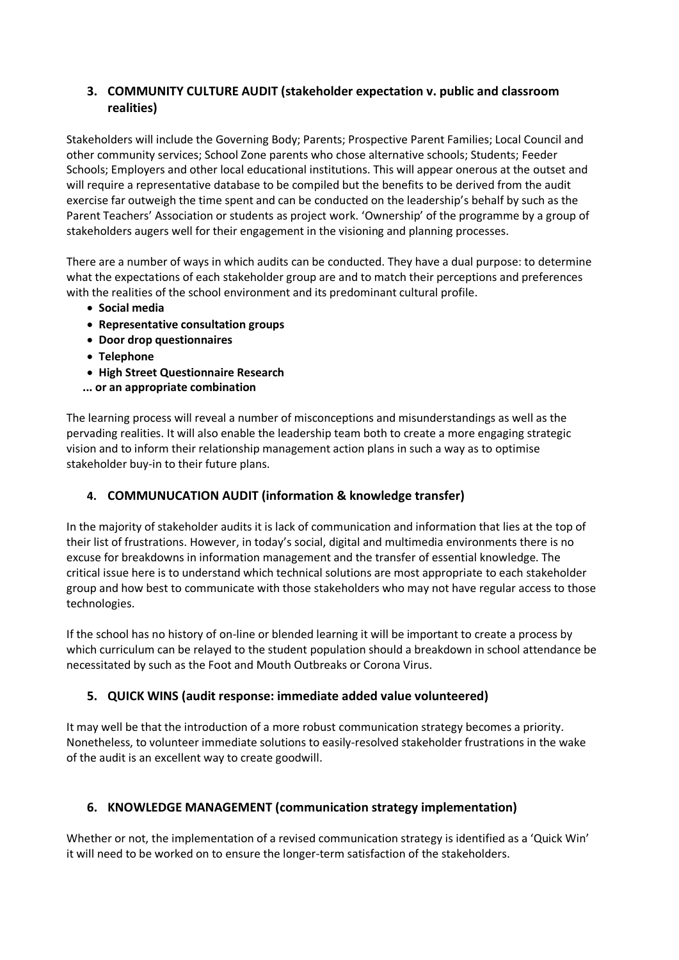## **3. COMMUNITY CULTURE AUDIT (stakeholder expectation v. public and classroom realities)**

Stakeholders will include the Governing Body; Parents; Prospective Parent Families; Local Council and other community services; School Zone parents who chose alternative schools; Students; Feeder Schools; Employers and other local educational institutions. This will appear onerous at the outset and will require a representative database to be compiled but the benefits to be derived from the audit exercise far outweigh the time spent and can be conducted on the leadership's behalf by such as the Parent Teachers' Association or students as project work. 'Ownership' of the programme by a group of stakeholders augers well for their engagement in the visioning and planning processes.

There are a number of ways in which audits can be conducted. They have a dual purpose: to determine what the expectations of each stakeholder group are and to match their perceptions and preferences with the realities of the school environment and its predominant cultural profile.

- **Social media**
- **Representative consultation groups**
- **Door drop questionnaires**
- **Telephone**
- **High Street Questionnaire Research**
- **... or an appropriate combination**

The learning process will reveal a number of misconceptions and misunderstandings as well as the pervading realities. It will also enable the leadership team both to create a more engaging strategic vision and to inform their relationship management action plans in such a way as to optimise stakeholder buy-in to their future plans.

## **4. COMMUNUCATION AUDIT (information & knowledge transfer)**

In the majority of stakeholder audits it is lack of communication and information that lies at the top of their list of frustrations. However, in today's social, digital and multimedia environments there is no excuse for breakdowns in information management and the transfer of essential knowledge. The critical issue here is to understand which technical solutions are most appropriate to each stakeholder group and how best to communicate with those stakeholders who may not have regular access to those technologies.

If the school has no history of on-line or blended learning it will be important to create a process by which curriculum can be relayed to the student population should a breakdown in school attendance be necessitated by such as the Foot and Mouth Outbreaks or Corona Virus.

## **5. QUICK WINS (audit response: immediate added value volunteered)**

It may well be that the introduction of a more robust communication strategy becomes a priority. Nonetheless, to volunteer immediate solutions to easily-resolved stakeholder frustrations in the wake of the audit is an excellent way to create goodwill.

## **6. KNOWLEDGE MANAGEMENT (communication strategy implementation)**

Whether or not, the implementation of a revised communication strategy is identified as a 'Quick Win' it will need to be worked on to ensure the longer-term satisfaction of the stakeholders.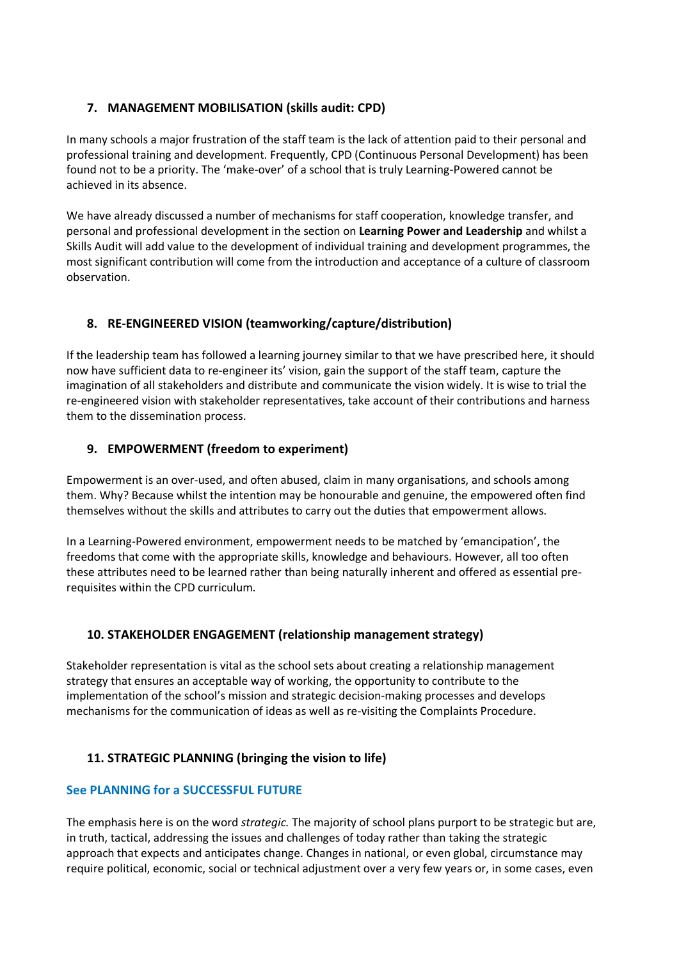## **7. MANAGEMENT MOBILISATION (skills audit: CPD)**

In many schools a major frustration of the staff team is the lack of attention paid to their personal and professional training and development. Frequently, CPD (Continuous Personal Development) has been found not to be a priority. The 'make-over' of a school that is truly Learning-Powered cannot be achieved in its absence.

We have already discussed a number of mechanisms for staff cooperation, knowledge transfer, and personal and professional development in the section on **Learning Power and Leadership** and whilst a Skills Audit will add value to the development of individual training and development programmes, the most significant contribution will come from the introduction and acceptance of a culture of classroom observation.

# **8. RE-ENGINEERED VISION (teamworking/capture/distribution)**

If the leadership team has followed a learning journey similar to that we have prescribed here, it should now have sufficient data to re-engineer its' vision, gain the support of the staff team, capture the imagination of all stakeholders and distribute and communicate the vision widely. It is wise to trial the re-engineered vision with stakeholder representatives, take account of their contributions and harness them to the dissemination process.

# **9. EMPOWERMENT (freedom to experiment)**

Empowerment is an over-used, and often abused, claim in many organisations, and schools among them. Why? Because whilst the intention may be honourable and genuine, the empowered often find themselves without the skills and attributes to carry out the duties that empowerment allows.

In a Learning-Powered environment, empowerment needs to be matched by 'emancipation', the freedoms that come with the appropriate skills, knowledge and behaviours. However, all too often these attributes need to be learned rather than being naturally inherent and offered as essential prerequisites within the CPD curriculum.

# **10. STAKEHOLDER ENGAGEMENT (relationship management strategy)**

Stakeholder representation is vital as the school sets about creating a relationship management strategy that ensures an acceptable way of working, the opportunity to contribute to the implementation of the school's mission and strategic decision-making processes and develops mechanisms for the communication of ideas as well as re-visiting the Complaints Procedure.

# **11. STRATEGIC PLANNING (bringing the vision to life)**

## **See PLANNING for a SUCCESSFUL FUTURE**

The emphasis here is on the word *strategic.* The majority of school plans purport to be strategic but are, in truth, tactical, addressing the issues and challenges of today rather than taking the strategic approach that expects and anticipates change. Changes in national, or even global, circumstance may require political, economic, social or technical adjustment over a very few years or, in some cases, even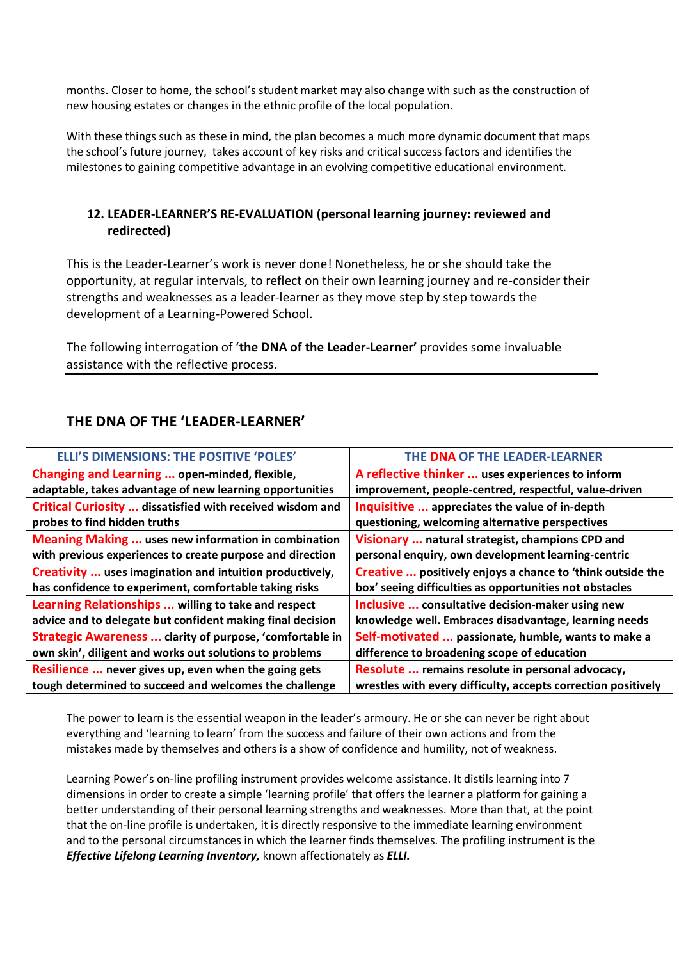months. Closer to home, the school's student market may also change with such as the construction of new housing estates or changes in the ethnic profile of the local population.

With these things such as these in mind, the plan becomes a much more dynamic document that maps the school's future journey, takes account of key risks and critical success factors and identifies the milestones to gaining competitive advantage in an evolving competitive educational environment.

## **12. LEADER-LEARNER'S RE-EVALUATION (personal learning journey: reviewed and redirected)**

This is the Leader-Learner's work is never done! Nonetheless, he or she should take the opportunity, at regular intervals, to reflect on their own learning journey and re-consider their strengths and weaknesses as a leader-learner as they move step by step towards the development of a Learning-Powered School.

The following interrogation of '**the DNA of the Leader-Learner'** provides some invaluable assistance with the reflective process.

# **THE DNA OF THE 'LEADER-LEARNER'**

| <b>ELLI'S DIMENSIONS: THE POSITIVE 'POLES'</b>                   | THE DNA OF THE LEADER-LEARNER                                 |
|------------------------------------------------------------------|---------------------------------------------------------------|
| Changing and Learning  open-minded, flexible,                    | A reflective thinker  uses experiences to inform              |
| adaptable, takes advantage of new learning opportunities         | improvement, people-centred, respectful, value-driven         |
| <b>Critical Curiosity  dissatisfied with received wisdom and</b> | Inquisitive  appreciates the value of in-depth                |
| probes to find hidden truths                                     | questioning, welcoming alternative perspectives               |
| <b>Meaning Making  uses new information in combination</b>       | Visionary  natural strategist, champions CPD and              |
| with previous experiences to create purpose and direction        | personal enquiry, own development learning-centric            |
| Creativity  uses imagination and intuition productively,         | Creative  positively enjoys a chance to 'think outside the    |
| has confidence to experiment, comfortable taking risks           | box' seeing difficulties as opportunities not obstacles       |
| Learning Relationships  willing to take and respect              | Inclusive  consultative decision-maker using new              |
| advice and to delegate but confident making final decision       | knowledge well. Embraces disadvantage, learning needs         |
| Strategic Awareness  clarity of purpose, 'comfortable in         | Self-motivated  passionate, humble, wants to make a           |
| own skin', diligent and works out solutions to problems          | difference to broadening scope of education                   |
| Resilience  never gives up, even when the going gets             | Resolute  remains resolute in personal advocacy,              |
| tough determined to succeed and welcomes the challenge           | wrestles with every difficulty, accepts correction positively |

The power to learn is the essential weapon in the leader's armoury. He or she can never be right about everything and 'learning to learn' from the success and failure of their own actions and from the mistakes made by themselves and others is a show of confidence and humility, not of weakness.

Learning Power's on-line profiling instrument provides welcome assistance. It distils learning into 7 dimensions in order to create a simple 'learning profile' that offers the learner a platform for gaining a better understanding of their personal learning strengths and weaknesses. More than that, at the point that the on-line profile is undertaken, it is directly responsive to the immediate learning environment and to the personal circumstances in which the learner finds themselves. The profiling instrument is the *Effective Lifelong Learning Inventory,* known affectionately as *ELLI.*